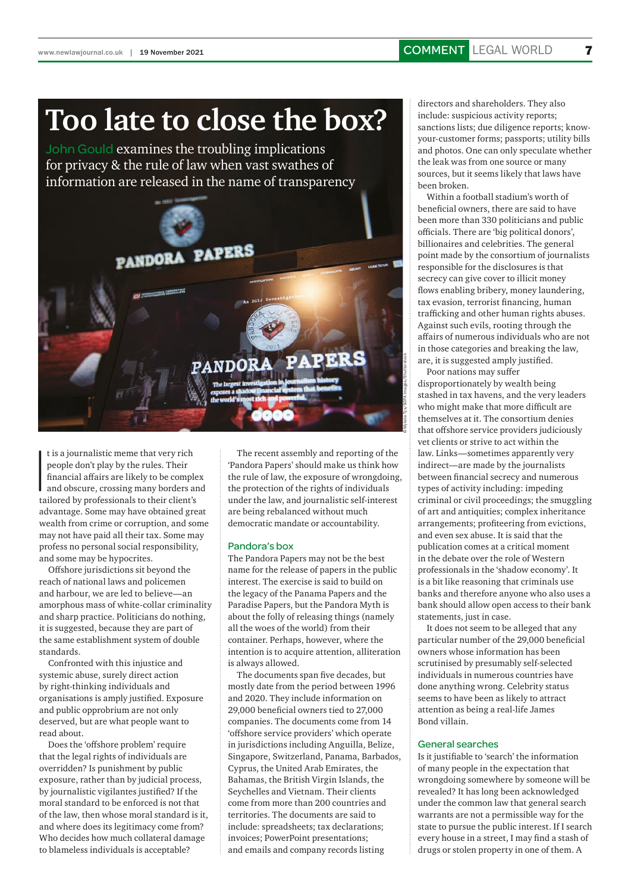# **Too late to close the box?**

John Gould examines the troubling implications for privacy & the rule of law when vast swathes of information are released in the name of transparency



 $\prod_{\text{ta}}$ t is a journalistic meme that very rich people don't play by the rules. Their financial affairs are likely to be complex and obscure, crossing many borders and tailored by professionals to their client's advantage. Some may have obtained great wealth from crime or corruption, and some may not have paid all their tax. Some may profess no personal social responsibility, and some may be hypocrites.

Offshore jurisdictions sit beyond the reach of national laws and policemen and harbour, we are led to believe—an amorphous mass of white-collar criminality and sharp practice. Politicians do nothing, it is suggested, because they are part of the same establishment system of double standards.

Confronted with this injustice and systemic abuse, surely direct action by right-thinking individuals and organisations is amply justified. Exposure and public opprobrium are not only deserved, but are what people want to read about.

Does the 'offshore problem' require that the legal rights of individuals are overridden? Is punishment by public exposure, rather than by judicial process, by journalistic vigilantes justified? If the moral standard to be enforced is not that of the law, then whose moral standard is it, and where does its legitimacy come from? Who decides how much collateral damage to blameless individuals is acceptable?

The recent assembly and reporting of the 'Pandora Papers' should make us think how the rule of law, the exposure of wrongdoing, the protection of the rights of individuals under the law, and journalistic self-interest are being rebalanced without much democratic mandate or accountability.

### Pandora's box

The Pandora Papers may not be the best name for the release of papers in the public interest. The exercise is said to build on the legacy of the Panama Papers and the Paradise Papers, but the Pandora Myth is about the folly of releasing things (namely all the woes of the world) from their container. Perhaps, however, where the intention is to acquire attention, alliteration is always allowed.

The documents span five decades, but mostly date from the period between 1996 and 2020. They include information on 29,000 beneficial owners tied to 27,000 companies. The documents come from 14 'offshore service providers' which operate in jurisdictions including Anguilla, Belize, Singapore, Switzerland, Panama, Barbados, Cyprus, the United Arab Emirates, the Bahamas, the British Virgin Islands, the Seychelles and Vietnam. Their clients come from more than 200 countries and territories. The documents are said to include: spreadsheets; tax declarations; invoices; PowerPoint presentations; and emails and company records listing

directors and shareholders. They also include: suspicious activity reports; sanctions lists; due diligence reports; knowyour-customer forms; passports; utility bills and photos. One can only speculate whether the leak was from one source or many sources, but it seems likely that laws have been broken.

Within a football stadium's worth of beneficial owners, there are said to have been more than 330 politicians and public officials. There are 'big political donors', billionaires and celebrities. The general point made by the consortium of journalists responsible for the disclosures is that secrecy can give cover to illicit money flows enabling bribery, money laundering, tax evasion, terrorist financing, human trafficking and other human rights abuses. Against such evils, rooting through the affairs of numerous individuals who are not in those categories and breaking the law, are, it is suggested amply justified.

Poor nations may suffer disproportionately by wealth being stashed in tax havens, and the very leaders who might make that more difficult are themselves at it. The consortium denies that offshore service providers judiciously vet clients or strive to act within the law. Links—sometimes apparently very indirect—are made by the journalists between financial secrecy and numerous types of activity including: impeding criminal or civil proceedings; the smuggling of art and antiquities; complex inheritance arrangements; profiteering from evictions, and even sex abuse. It is said that the publication comes at a critical moment in the debate over the role of Western professionals in the 'shadow economy'. It is a bit like reasoning that criminals use banks and therefore anyone who also uses a bank should allow open access to their bank statements, just in case.

It does not seem to be alleged that any particular number of the 29,000 beneficial owners whose information has been scrutinised by presumably self-selected individuals in numerous countries have done anything wrong. Celebrity status seems to have been as likely to attract attention as being a real-life James Bond villain.

#### General searches

Is it justifiable to 'search' the information of many people in the expectation that wrongdoing somewhere by someone will be revealed? It has long been acknowledged under the common law that general search warrants are not a permissible way for the state to pursue the public interest. If I search every house in a street, I may find a stash of drugs or stolen property in one of them. A